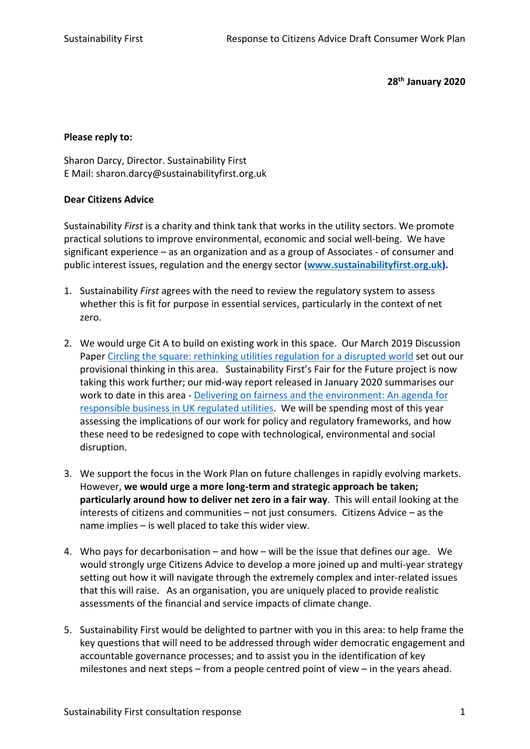**28th January 2020**

## **Please reply to:**

Sharon Darcy, Director. Sustainability First E Mail: sharon.darcy@sustainabilityfirst.org.uk

## **Dear Citizens Advice**

Sustainability *First* is a charity and think tank that works in the utility sectors. We promote practical solutions to improve environmental, economic and social well-being. We have significant experience – as an organization and as a group of Associates - of consumer and public interest issues, regulation and the energy sector (**www.sustainabilityfirst.org.uk).**

- 1. Sustainability *First* agrees with the need to review the regulatory system to assess whether this is fit for purpose in essential services, particularly in the context of net zero.
- 2. We would urge Cit A to build on existing work in this space. Our March 2019 Discussion Paper Circling the square: rethinking utilities regulation for a disrupted world set out our provisional thinking in this area. Sustainability First's Fair for the Future project is now taking this work further; our mid-way report released in January 2020 summarises our work to date in this area - Delivering on fairness and the environment: An agenda for responsible business in UK regulated utilities. We will be spending most of this year assessing the implications of our work for policy and regulatory frameworks, and how these need to be redesigned to cope with technological, environmental and social disruption.
- 3. We support the focus in the Work Plan on future challenges in rapidly evolving markets. However, **we would urge a more long-term and strategic approach be taken; particularly around how to deliver net zero in a fair way**. This will entail looking at the interests of citizens and communities – not just consumers. Citizens Advice – as the name implies – is well placed to take this wider view.
- 4. Who pays for decarbonisation and how will be the issue that defines our age. We would strongly urge Citizens Advice to develop a more joined up and multi-year strategy setting out how it will navigate through the extremely complex and inter-related issues that this will raise. As an organisation, you are uniquely placed to provide realistic assessments of the financial and service impacts of climate change.
- 5. Sustainability First would be delighted to partner with you in this area: to help frame the key questions that will need to be addressed through wider democratic engagement and accountable governance processes; and to assist you in the identification of key milestones and next steps – from a people centred point of view – in the years ahead.